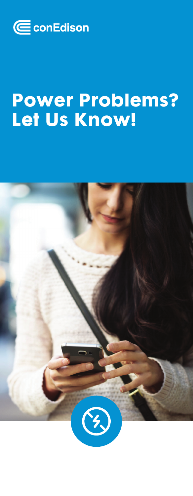

# Power Problems? Let Us Know!

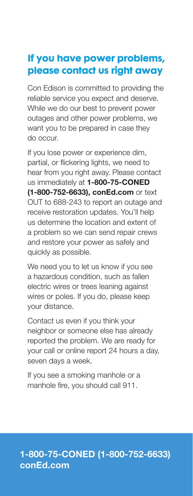## If you have power problems, please contact us right away

Con Edison is committed to providing the reliable service you expect and deserve. While we do our best to prevent power outages and other power problems, we want you to be prepared in case they do occur.

If you lose power or experience dim, partial, or flickering lights, we need to hear from you right away. Please contact us immediately at **1-800-75-CONED (1-800-752-6633), conEd.com** or text OUT to 688-243 to report an outage and receive restoration updates. You'll help us determine the location and extent of a problem so we can send repair crews and restore your power as safely and quickly as possible.

We need you to let us know if you see a hazardous condition, such as fallen electric wires or trees leaning against wires or poles. If you do, please keep your distance.

Contact us even if you think your neighbor or someone else has already reported the problem. We are ready for your call or online report 24 hours a day, seven days a week.

If you see a smoking manhole or a manhole fire, you should call 911.

#### 1-800-75-CONED (1-800-752-6633) conEd.com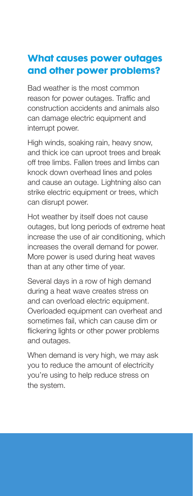## What causes power outages and other power problems?

Bad weather is the most common reason for power outages. Traffic and construction accidents and animals also can damage electric equipment and interrupt power.

High winds, soaking rain, heavy snow, and thick ice can uproot trees and break off tree limbs. Fallen trees and limbs can knock down overhead lines and poles and cause an outage. Lightning also can strike electric equipment or trees, which can disrupt power.

Hot weather by itself does not cause outages, but long periods of extreme heat increase the use of air conditioning, which increases the overall demand for power. More power is used during heat waves than at any other time of year.

Several days in a row of high demand during a heat wave creates stress on and can overload electric equipment. Overloaded equipment can overheat and sometimes fail, which can cause dim or flickering lights or other power problems and outages.

When demand is very high, we may ask you to reduce the amount of electricity you're using to help reduce stress on the system.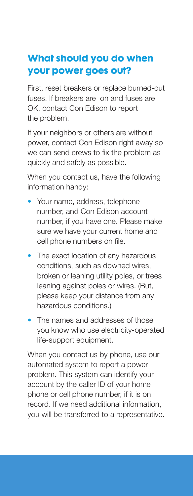## What should you do when your power goes out?

First, reset breakers or replace burned-out fuses. If breakers are on and fuses are OK, contact Con Edison to report the problem.

If your neighbors or others are without power, contact Con Edison right away so we can send crews to fix the problem as quickly and safely as possible.

When you contact us, have the following information handy:

- Your name, address, telephone number, and Con Edison account number, if you have one. Please make sure we have your current home and cell phone numbers on file.
- The exact location of any hazardous conditions, such as downed wires, broken or leaning utility poles, or trees leaning against poles or wires. (But, please keep your distance from any hazardous conditions.)
- The names and addresses of those you know who use electricity-operated life-support equipment.

When you contact us by phone, use our automated system to report a power problem. This system can identify your account by the caller ID of your home phone or cell phone number, if it is on record. If we need additional information, you will be transferred to a representative.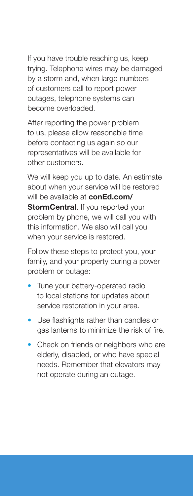If you have trouble reaching us, keep trying. Telephone wires may be damaged by a storm and, when large numbers of customers call to report power outages, telephone systems can become overloaded.

After reporting the power problem to us, please allow reasonable time before contacting us again so our representatives will be available for other customers.

We will keep you up to date. An estimate about when your service will be restored will be available at **conEd.com/ StormCentral.** If you reported your problem by phone, we will call you with this information. We also will call you when your service is restored.

Follow these steps to protect you, your family, and your property during a power problem or outage:

- Tune your battery-operated radio to local stations for updates about service restoration in your area.
- Use flashlights rather than candles or gas lanterns to minimize the risk of fire.
- Check on friends or neighbors who are elderly, disabled, or who have special needs. Remember that elevators may not operate during an outage.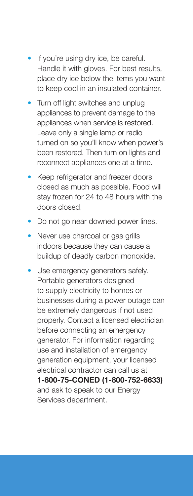- If you're using dry ice, be careful. Handle it with gloves. For best results, place dry ice below the items you want to keep cool in an insulated container.
- Turn off light switches and unplug appliances to prevent damage to the appliances when service is restored. Leave only a single lamp or radio turned on so you'll know when power's been restored. Then turn on lights and reconnect appliances one at a time.
- Keep refrigerator and freezer doors closed as much as possible. Food will stay frozen for 24 to 48 hours with the doors closed.
- Do not go near downed power lines.
- Never use charcoal or gas grills indoors because they can cause a buildup of deadly carbon monoxide.
- Use emergency generators safely. Portable generators designed to supply electricity to homes or businesses during a power outage can be extremely dangerous if not used properly. Contact a licensed electrician before connecting an emergency generator. For information regarding use and installation of emergency generation equipment, your licensed electrical contractor can call us at 1-800-75-CONED (1-800-752-6633) and ask to speak to our Energy Services department.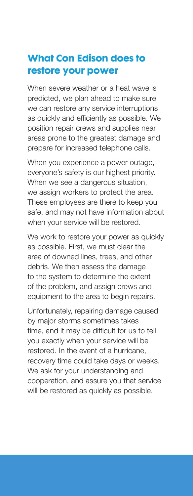#### What Con Edison does to restore your power

When severe weather or a heat wave is predicted, we plan ahead to make sure we can restore any service interruptions as quickly and efficiently as possible. We position repair crews and supplies near areas prone to the greatest damage and prepare for increased telephone calls.

When you experience a power outage, everyone's safety is our highest priority. When we see a dangerous situation, we assign workers to protect the area. These employees are there to keep you safe, and may not have information about when your service will be restored.

We work to restore your power as quickly as possible. First, we must clear the area of downed lines, trees, and other debris. We then assess the damage to the system to determine the extent of the problem, and assign crews and equipment to the area to begin repairs.

Unfortunately, repairing damage caused by major storms sometimes takes time, and it may be difficult for us to tell you exactly when your service will be restored. In the event of a hurricane, recovery time could take days or weeks. We ask for your understanding and cooperation, and assure you that service will be restored as quickly as possible.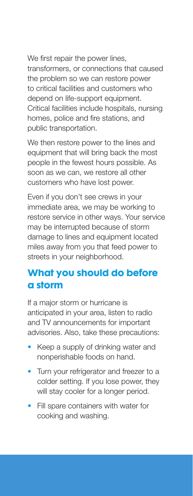We first repair the power lines, transformers, or connections that caused the problem so we can restore power to critical facilities and customers who depend on life-support equipment. Critical facilities include hospitals, nursing homes, police and fire stations, and public transportation.

We then restore power to the lines and equipment that will bring back the most people in the fewest hours possible. As soon as we can, we restore all other customers who have lost power.

Even if you don't see crews in your immediate area, we may be working to restore service in other ways. Your service may be interrupted because of storm damage to lines and equipment located miles away from you that feed power to streets in your neighborhood.

#### What you should do before a storm

If a major storm or hurricane is anticipated in your area, listen to radio and TV announcements for important advisories. Also, take these precautions:

- Keep a supply of drinking water and nonperishable foods on hand.
- Turn your refrigerator and freezer to a colder setting. If you lose power, they will stay cooler for a longer period.
- Fill spare containers with water for cooking and washing.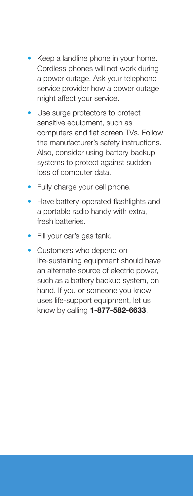- Keep a landline phone in your home. Cordless phones will not work during a power outage. Ask your telephone service provider how a power outage might affect your service.
- Use surge protectors to protect sensitive equipment, such as computers and flat screen TVs. Follow the manufacturer's safety instructions. Also, consider using battery backup systems to protect against sudden loss of computer data.
- Fully charge your cell phone.
- Have battery-operated flashlights and a portable radio handy with extra, fresh batteries.
- Fill your car's gas tank.
- Customers who depend on life-sustaining equipment should have an alternate source of electric power, such as a battery backup system, on hand. If you or someone you know uses life-support equipment, let us know by calling 1-877-582-6633.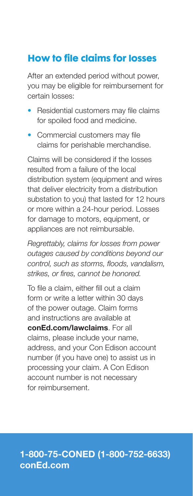# How to file claims for losses

After an extended period without power, you may be eligible for reimbursement for certain losses:

- Residential customers may file claims for spoiled food and medicine.
- Commercial customers may file claims for perishable merchandise.

Claims will be considered if the losses resulted from a failure of the local distribution system (equipment and wires that deliver electricity from a distribution substation to you) that lasted for 12 hours or more within a 24-hour period. Losses for damage to motors, equipment, or appliances are not reimbursable.

*Regrettably, claims for losses from power outages caused by conditions beyond our control, such as storms, floods, vandalism, strikes, or fires, cannot be honored.* 

To file a claim, either fill out a claim form or write a letter within 30 days of the power outage. Claim forms and instructions are available at conEd.com/lawclaims. For all claims, please include your name, address, and your Con Edison account number (if you have one) to assist us in processing your claim. A Con Edison account number is not necessary for reimbursement.

#### 1-800-75-CONED (1-800-752-6633) conEd.com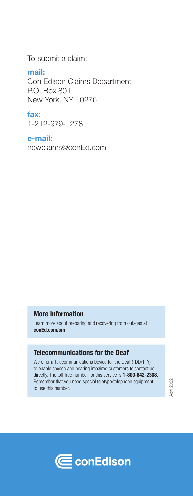To submit a claim:

mail:

Con Edison Claims Department P.O. Box 801 New York, NY 10276

fax: 1-212-979-1278

e-mail:

newclaims@conEd.com

#### **More Information**

Learn more about preparing and recovering from outages at **conEd.com/sm**

#### **Telecommunications for the Deaf**

We offer a Telecommunications Device for the Deaf (TDD/TTY) to enable speech and hearing impaired customers to contact us directly. The toll-free number for this service is **1-800-642-2308**. Remember that you need special teletype/telephone equipment to use this number.

April 2022